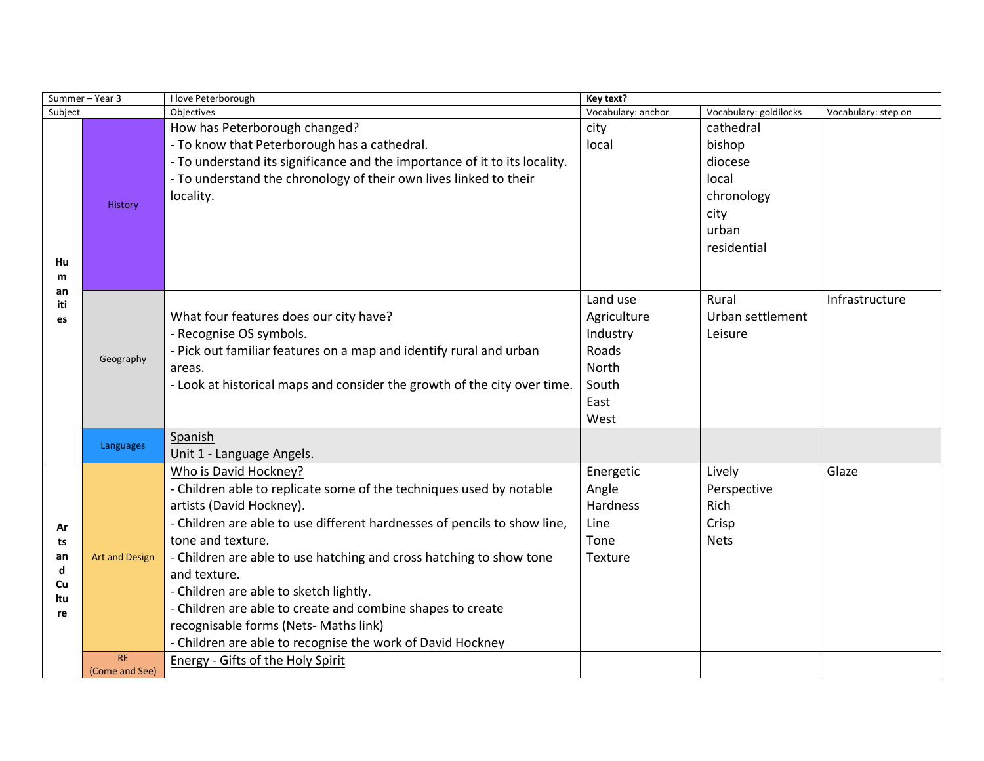| Summer-Year 3                          |                             | I love Peterborough                                                                                                                                                                                                                                                                                                                                                                                                                                                                                                             | Key text?                                                                      |                                                                                       |                     |
|----------------------------------------|-----------------------------|---------------------------------------------------------------------------------------------------------------------------------------------------------------------------------------------------------------------------------------------------------------------------------------------------------------------------------------------------------------------------------------------------------------------------------------------------------------------------------------------------------------------------------|--------------------------------------------------------------------------------|---------------------------------------------------------------------------------------|---------------------|
| Subject                                |                             | Objectives                                                                                                                                                                                                                                                                                                                                                                                                                                                                                                                      | Vocabulary: anchor                                                             | Vocabulary: goldilocks                                                                | Vocabulary: step on |
| Hu<br>m<br>an<br>iti<br>es             | History                     | How has Peterborough changed?<br>- To know that Peterborough has a cathedral.<br>- To understand its significance and the importance of it to its locality.<br>- To understand the chronology of their own lives linked to their<br>locality.                                                                                                                                                                                                                                                                                   | city<br>local                                                                  | cathedral<br>bishop<br>diocese<br>local<br>chronology<br>city<br>urban<br>residential |                     |
|                                        | Geography                   | What four features does our city have?<br>- Recognise OS symbols.<br>- Pick out familiar features on a map and identify rural and urban<br>areas.<br>- Look at historical maps and consider the growth of the city over time.                                                                                                                                                                                                                                                                                                   | Land use<br>Agriculture<br>Industry<br>Roads<br>North<br>South<br>East<br>West | Rural<br>Urban settlement<br>Leisure                                                  | Infrastructure      |
|                                        | Languages                   | Spanish<br>Unit 1 - Language Angels.                                                                                                                                                                                                                                                                                                                                                                                                                                                                                            |                                                                                |                                                                                       |                     |
| Ar<br>ts<br>an<br>d<br>Cu<br>ltu<br>re | <b>Art and Design</b>       | Who is David Hockney?<br>- Children able to replicate some of the techniques used by notable<br>artists (David Hockney).<br>- Children are able to use different hardnesses of pencils to show line,<br>tone and texture.<br>- Children are able to use hatching and cross hatching to show tone<br>and texture.<br>- Children are able to sketch lightly.<br>- Children are able to create and combine shapes to create<br>recognisable forms (Nets- Maths link)<br>- Children are able to recognise the work of David Hockney | Energetic<br>Angle<br>Hardness<br>Line<br>Tone<br>Texture                      | Lively<br>Perspective<br>Rich<br>Crisp<br><b>Nets</b>                                 | Glaze               |
|                                        | <b>RE</b><br>(Come and See) | Energy - Gifts of the Holy Spirit                                                                                                                                                                                                                                                                                                                                                                                                                                                                                               |                                                                                |                                                                                       |                     |